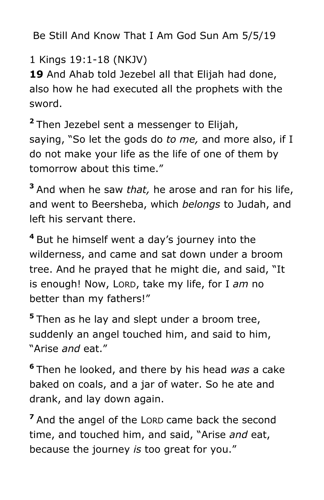Be Still And Know That I Am God Sun Am 5/5/19

1 Kings 19:1-18 (NKJV)

19 And Ahab told Jezebel all that Elijah had done, also how he had executed all the prophets with the sword.

**<sup>2</sup>** Then Jezebel sent a messenger to Elijah, saying, "So let the gods do *to me,* and more also, if I do not make your life as the life of one of them by tomorrow about this time."

**<sup>3</sup>** And when he saw *that,* he arose and ran for his life, and went to Beersheba, which *belongs* to Judah, and left his servant there.

**<sup>4</sup>** But he himself went a day's journey into the wilderness, and came and sat down under a broom tree. And he prayed that he might die, and said, "It is enough! Now, LORD, take my life, for I *am* no better than my fathers!"

**<sup>5</sup>** Then as he lay and slept under a broom tree, suddenly an angel touched him, and said to him, "Arise *and* eat."

**6** Then he looked, and there by his head *was* a cake baked on coals, and a jar of water. So he ate and drank, and lay down again.

**<sup>7</sup>** And the angel of the LORD came back the second time, and touched him, and said, "Arise *and* eat, because the journey *is* too great for you."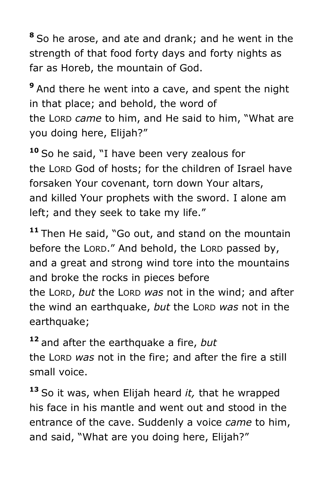**<sup>8</sup>** So he arose, and ate and drank; and he went in the strength of that food forty days and forty nights as far as Horeb, the mountain of God.

**<sup>9</sup>** And there he went into a cave, and spent the night in that place; and behold, the word of the LORD *came* to him, and He said to him, "What are you doing here, Elijah?"

**<sup>10</sup>** So he said, "I have been very zealous for the LORD God of hosts; for the children of Israel have forsaken Your covenant, torn down Your altars, and killed Your prophets with the sword. I alone am left; and they seek to take my life."

**<sup>11</sup>** Then He said, "Go out, and stand on the mountain before the LORD." And behold, the LORD passed by, and a great and strong wind tore into the mountains and broke the rocks in pieces before the LORD, *but* the LORD *was* not in the wind; and after the wind an earthquake, *but* the LORD *was* not in the earthquake;

**<sup>12</sup>** and after the earthquake a fire, *but* 

the LORD *was* not in the fire; and after the fire a still small voice.

**<sup>13</sup>** So it was, when Elijah heard *it,* that he wrapped his face in his mantle and went out and stood in the entrance of the cave. Suddenly a voice *came* to him, and said, "What are you doing here, Elijah?"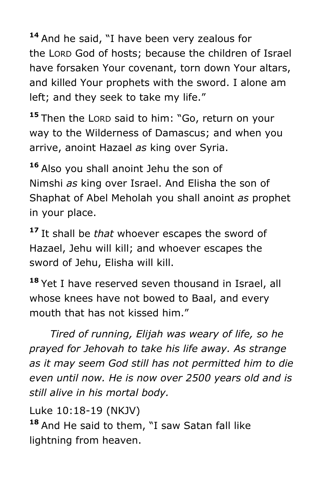**<sup>14</sup>** And he said, "I have been very zealous for the LORD God of hosts; because the children of Israel have forsaken Your covenant, torn down Your altars, and killed Your prophets with the sword. I alone am left; and they seek to take my life."

**<sup>15</sup>** Then the LORD said to him: "Go, return on your way to the Wilderness of Damascus; and when you arrive, anoint Hazael *as* king over Syria.

**<sup>16</sup>** Also you shall anoint Jehu the son of Nimshi *as* king over Israel. And Elisha the son of Shaphat of Abel Meholah you shall anoint *as* prophet in your place.

**<sup>17</sup>** It shall be *that* whoever escapes the sword of Hazael, Jehu will kill; and whoever escapes the sword of Jehu, Elisha will kill.

**<sup>18</sup>** Yet I have reserved seven thousand in Israel, all whose knees have not bowed to Baal, and every mouth that has not kissed him."

 *Tired of running, Elijah was weary of life, so he prayed for Jehovah to take his life away. As strange as it may seem God still has not permitted him to die even until now. He is now over 2500 years old and is still alive in his mortal body.*

Luke 10:18-19 (NKJV)

**<sup>18</sup>** And He said to them, "I saw Satan fall like lightning from heaven.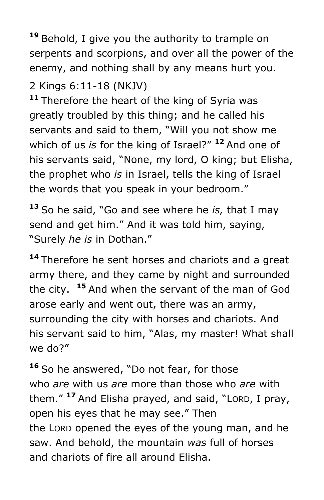**<sup>19</sup>** Behold, I give you the authority to trample on serpents and scorpions, and over all the power of the enemy, and nothing shall by any means hurt you.

# 2 Kings 6:11-18 (NKJV)

**<sup>11</sup>** Therefore the heart of the king of Syria was greatly troubled by this thing; and he called his servants and said to them, "Will you not show me which of us *is* for the king of Israel?" **<sup>12</sup>** And one of his servants said, "None, my lord, O king; but Elisha, the prophet who *is* in Israel, tells the king of Israel the words that you speak in your bedroom."

**<sup>13</sup>** So he said, "Go and see where he *is,* that I may send and get him." And it was told him, saying, "Surely *he is* in Dothan."

**<sup>14</sup>** Therefore he sent horses and chariots and a great army there, and they came by night and surrounded the city. **<sup>15</sup>** And when the servant of the man of God arose early and went out, there was an army, surrounding the city with horses and chariots. And his servant said to him, "Alas, my master! What shall we do?"

**<sup>16</sup>** So he answered, "Do not fear, for those who *are* with us *are* more than those who *are* with them." **<sup>17</sup>** And Elisha prayed, and said, "LORD, I pray, open his eyes that he may see." Then the LORD opened the eyes of the young man, and he saw. And behold, the mountain *was* full of horses and chariots of fire all around Elisha.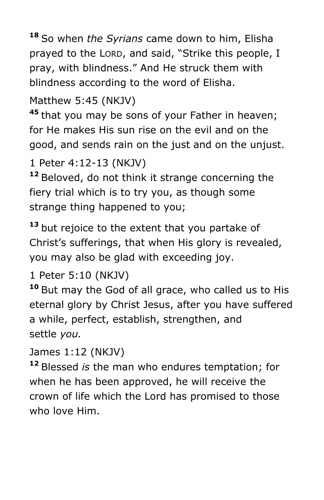**<sup>18</sup>** So when *the Syrians* came down to him, Elisha prayed to the LORD, and said, "Strike this people, I pray, with blindness." And He struck them with blindness according to the word of Elisha.

# Matthew 5:45 (NKJV)

**<sup>45</sup>** that you may be sons of your Father in heaven; for He makes His sun rise on the evil and on the good, and sends rain on the just and on the unjust.

## 1 Peter 4:12-13 (NKJV)

**<sup>12</sup>** Beloved, do not think it strange concerning the fiery trial which is to try you, as though some strange thing happened to you;

**<sup>13</sup>** but rejoice to the extent that you partake of Christ's sufferings, that when His glory is revealed, you may also be glad with exceeding joy.

## 1 Peter 5:10 (NKJV)

**<sup>10</sup>** But may the God of all grace, who called us to His eternal glory by Christ Jesus, after you have suffered a while, perfect, establish, strengthen, and settle *you.*

### James 1:12 (NKJV)

**<sup>12</sup>** Blessed *is* the man who endures temptation; for when he has been approved, he will receive the crown of life which the Lord has promised to those who love Him.